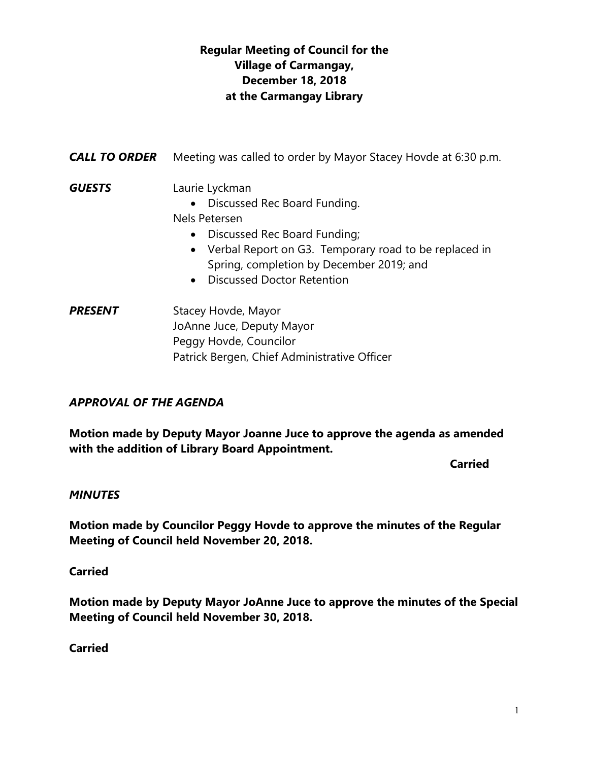## **Regular Meeting of Council for the Village of Carmangay, December 18, 2018 at the Carmangay Library**

| <b>CALL TO ORDER</b> | Meeting was called to order by Mayor Stacey Hovde at 6:30 p.m.                                                                                                                                                                                        |
|----------------------|-------------------------------------------------------------------------------------------------------------------------------------------------------------------------------------------------------------------------------------------------------|
| <b>GUESTS</b>        | Laurie Lyckman<br>• Discussed Rec Board Funding.<br>Nels Petersen<br>Discussed Rec Board Funding;<br>$\bullet$<br>• Verbal Report on G3. Temporary road to be replaced in<br>Spring, completion by December 2019; and<br>• Discussed Doctor Retention |
| <b>PRESENT</b>       | Stacey Hovde, Mayor<br>JoAnne Juce, Deputy Mayor                                                                                                                                                                                                      |

Patrick Bergen, Chief Administrative Officer

Peggy Hovde, Councilor

## *APPROVAL OF THE AGENDA*

**Motion made by Deputy Mayor Joanne Juce to approve the agenda as amended with the addition of Library Board Appointment.**

**Carried** 

#### *MINUTES*

**Motion made by Councilor Peggy Hovde to approve the minutes of the Regular Meeting of Council held November 20, 2018.**

#### **Carried**

**Motion made by Deputy Mayor JoAnne Juce to approve the minutes of the Special Meeting of Council held November 30, 2018.**

**Carried**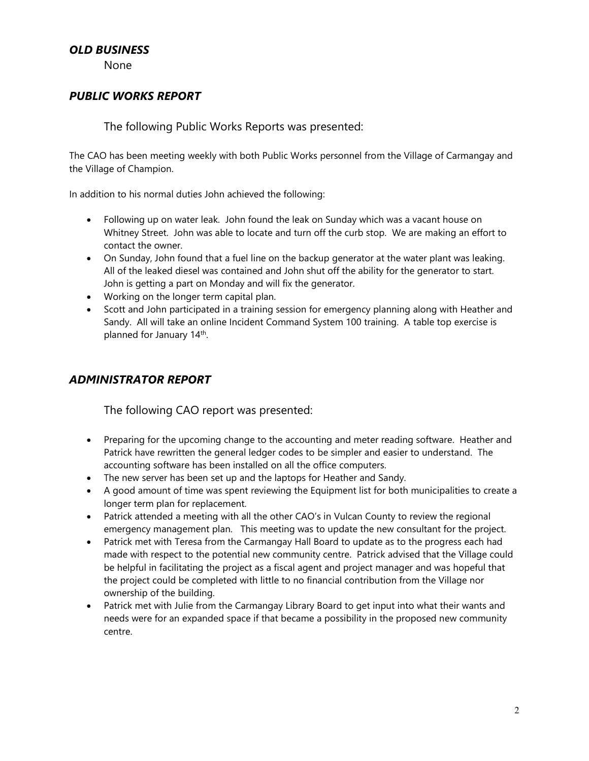#### *OLD BUSINESS*

None

#### *PUBLIC WORKS REPORT*

#### The following Public Works Reports was presented:

The CAO has been meeting weekly with both Public Works personnel from the Village of Carmangay and the Village of Champion.

In addition to his normal duties John achieved the following:

- Following up on water leak. John found the leak on Sunday which was a vacant house on Whitney Street. John was able to locate and turn off the curb stop. We are making an effort to contact the owner.
- On Sunday, John found that a fuel line on the backup generator at the water plant was leaking. All of the leaked diesel was contained and John shut off the ability for the generator to start. John is getting a part on Monday and will fix the generator.
- Working on the longer term capital plan.
- Scott and John participated in a training session for emergency planning along with Heather and Sandy. All will take an online Incident Command System 100 training. A table top exercise is planned for January 14<sup>th</sup>.

#### *ADMINISTRATOR REPORT*

The following CAO report was presented:

- Preparing for the upcoming change to the accounting and meter reading software. Heather and Patrick have rewritten the general ledger codes to be simpler and easier to understand. The accounting software has been installed on all the office computers.
- The new server has been set up and the laptops for Heather and Sandy.
- A good amount of time was spent reviewing the Equipment list for both municipalities to create a longer term plan for replacement.
- Patrick attended a meeting with all the other CAO's in Vulcan County to review the regional emergency management plan. This meeting was to update the new consultant for the project.
- Patrick met with Teresa from the Carmangay Hall Board to update as to the progress each had made with respect to the potential new community centre. Patrick advised that the Village could be helpful in facilitating the project as a fiscal agent and project manager and was hopeful that the project could be completed with little to no financial contribution from the Village nor ownership of the building.
- Patrick met with Julie from the Carmangay Library Board to get input into what their wants and needs were for an expanded space if that became a possibility in the proposed new community centre.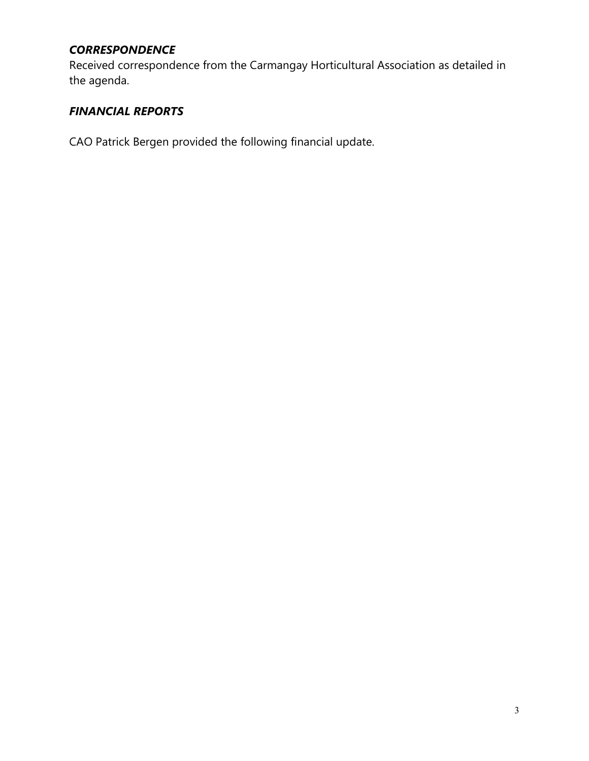## *CORRESPONDENCE*

Received correspondence from the Carmangay Horticultural Association as detailed in the agenda.

## *FINANCIAL REPORTS*

CAO Patrick Bergen provided the following financial update.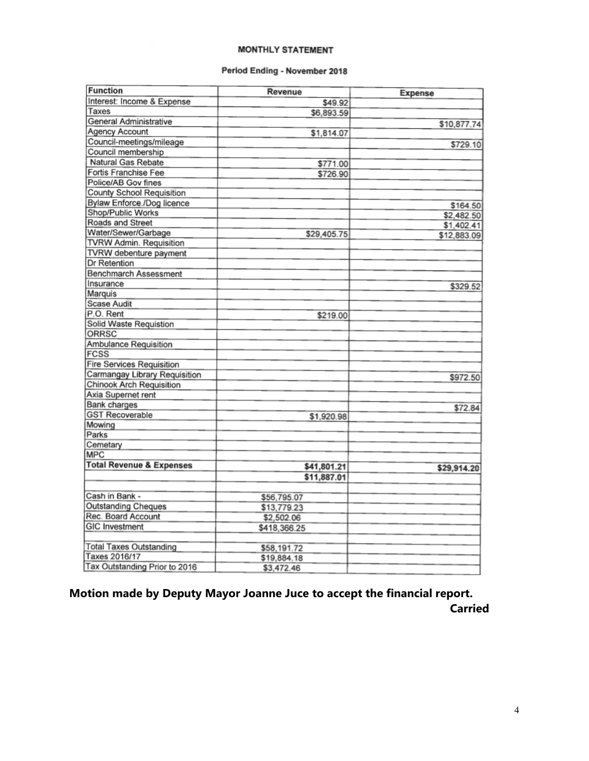#### **MONTHLY STATEMENT**

#### Period Ending - November 2018

| <b>Expense</b><br>Interest: Income & Expense<br>\$49.92<br>Taxes<br>\$6,893.59<br>General Administrative<br>\$10,877.74<br>Agency Account<br>\$1,814.07<br>Council-meetings/mileage<br>\$729.10<br>Council membership<br>Natural Gas Rebate<br>\$771.00<br>Fortis Franchise Fee<br>\$726.90<br>Police/AB Gov fines<br><b>County School Requisition</b><br>Bylaw Enforce./Dog licence<br>\$164.50<br>Shop/Public Works<br>\$2,482.50<br>Roads and Street<br>\$1,402.41<br>Water/Sewer/Garbage<br>\$29,405.75<br>\$12,883.09<br>TVRW Admin. Requisition<br>TVRW debenture payment<br>Dr Retention<br><b>Benchmarch Assessment</b><br>Insurance<br>\$329.52<br>Marquis<br><b>Scase Audit</b> |
|-------------------------------------------------------------------------------------------------------------------------------------------------------------------------------------------------------------------------------------------------------------------------------------------------------------------------------------------------------------------------------------------------------------------------------------------------------------------------------------------------------------------------------------------------------------------------------------------------------------------------------------------------------------------------------------------|
|                                                                                                                                                                                                                                                                                                                                                                                                                                                                                                                                                                                                                                                                                           |
|                                                                                                                                                                                                                                                                                                                                                                                                                                                                                                                                                                                                                                                                                           |
|                                                                                                                                                                                                                                                                                                                                                                                                                                                                                                                                                                                                                                                                                           |
|                                                                                                                                                                                                                                                                                                                                                                                                                                                                                                                                                                                                                                                                                           |
|                                                                                                                                                                                                                                                                                                                                                                                                                                                                                                                                                                                                                                                                                           |
|                                                                                                                                                                                                                                                                                                                                                                                                                                                                                                                                                                                                                                                                                           |
|                                                                                                                                                                                                                                                                                                                                                                                                                                                                                                                                                                                                                                                                                           |
|                                                                                                                                                                                                                                                                                                                                                                                                                                                                                                                                                                                                                                                                                           |
|                                                                                                                                                                                                                                                                                                                                                                                                                                                                                                                                                                                                                                                                                           |
|                                                                                                                                                                                                                                                                                                                                                                                                                                                                                                                                                                                                                                                                                           |
|                                                                                                                                                                                                                                                                                                                                                                                                                                                                                                                                                                                                                                                                                           |
|                                                                                                                                                                                                                                                                                                                                                                                                                                                                                                                                                                                                                                                                                           |
|                                                                                                                                                                                                                                                                                                                                                                                                                                                                                                                                                                                                                                                                                           |
|                                                                                                                                                                                                                                                                                                                                                                                                                                                                                                                                                                                                                                                                                           |
|                                                                                                                                                                                                                                                                                                                                                                                                                                                                                                                                                                                                                                                                                           |
|                                                                                                                                                                                                                                                                                                                                                                                                                                                                                                                                                                                                                                                                                           |
|                                                                                                                                                                                                                                                                                                                                                                                                                                                                                                                                                                                                                                                                                           |
|                                                                                                                                                                                                                                                                                                                                                                                                                                                                                                                                                                                                                                                                                           |
|                                                                                                                                                                                                                                                                                                                                                                                                                                                                                                                                                                                                                                                                                           |
|                                                                                                                                                                                                                                                                                                                                                                                                                                                                                                                                                                                                                                                                                           |
|                                                                                                                                                                                                                                                                                                                                                                                                                                                                                                                                                                                                                                                                                           |
| P.O. Rent<br>\$219.00                                                                                                                                                                                                                                                                                                                                                                                                                                                                                                                                                                                                                                                                     |
| Solid Waste Requistion                                                                                                                                                                                                                                                                                                                                                                                                                                                                                                                                                                                                                                                                    |
| <b>ORRSC</b>                                                                                                                                                                                                                                                                                                                                                                                                                                                                                                                                                                                                                                                                              |
| <b>Ambulance Requisition</b>                                                                                                                                                                                                                                                                                                                                                                                                                                                                                                                                                                                                                                                              |
| FCSS                                                                                                                                                                                                                                                                                                                                                                                                                                                                                                                                                                                                                                                                                      |
| <b>Fire Services Requisition</b>                                                                                                                                                                                                                                                                                                                                                                                                                                                                                                                                                                                                                                                          |
| <b>Carmangay Library Requisition</b><br>\$972.50                                                                                                                                                                                                                                                                                                                                                                                                                                                                                                                                                                                                                                          |
| <b>Chinook Arch Requisition</b>                                                                                                                                                                                                                                                                                                                                                                                                                                                                                                                                                                                                                                                           |
| Axia Supernet rent                                                                                                                                                                                                                                                                                                                                                                                                                                                                                                                                                                                                                                                                        |
| <b>Bank</b> charges<br>\$72.84                                                                                                                                                                                                                                                                                                                                                                                                                                                                                                                                                                                                                                                            |
| <b>GST Recoverable</b><br>\$1,920.98                                                                                                                                                                                                                                                                                                                                                                                                                                                                                                                                                                                                                                                      |
| Mowing                                                                                                                                                                                                                                                                                                                                                                                                                                                                                                                                                                                                                                                                                    |
| Parks                                                                                                                                                                                                                                                                                                                                                                                                                                                                                                                                                                                                                                                                                     |
| Cemetary                                                                                                                                                                                                                                                                                                                                                                                                                                                                                                                                                                                                                                                                                  |
| <b>MPC</b>                                                                                                                                                                                                                                                                                                                                                                                                                                                                                                                                                                                                                                                                                |
| <b>Total Revenue &amp; Expenses</b><br>\$41,801.21<br>\$29,914.20                                                                                                                                                                                                                                                                                                                                                                                                                                                                                                                                                                                                                         |
| \$11,887.01                                                                                                                                                                                                                                                                                                                                                                                                                                                                                                                                                                                                                                                                               |
|                                                                                                                                                                                                                                                                                                                                                                                                                                                                                                                                                                                                                                                                                           |
| Cash in Bank -<br>\$56,795.07                                                                                                                                                                                                                                                                                                                                                                                                                                                                                                                                                                                                                                                             |
| <b>Outstanding Cheques</b><br>\$13,779.23                                                                                                                                                                                                                                                                                                                                                                                                                                                                                                                                                                                                                                                 |
| Rec. Board Account<br>\$2,502.06                                                                                                                                                                                                                                                                                                                                                                                                                                                                                                                                                                                                                                                          |
| <b>GIC Investment</b><br>\$418,366.25                                                                                                                                                                                                                                                                                                                                                                                                                                                                                                                                                                                                                                                     |
| <b>Total Taxes Outstanding</b><br>\$58,191.72                                                                                                                                                                                                                                                                                                                                                                                                                                                                                                                                                                                                                                             |
| Taxes 2016/17<br>\$19,884.18                                                                                                                                                                                                                                                                                                                                                                                                                                                                                                                                                                                                                                                              |
| Tax Outstanding Prior to 2016<br>\$3,472.46                                                                                                                                                                                                                                                                                                                                                                                                                                                                                                                                                                                                                                               |

**Motion made by Deputy Mayor Joanne Juce to accept the financial report. Carried**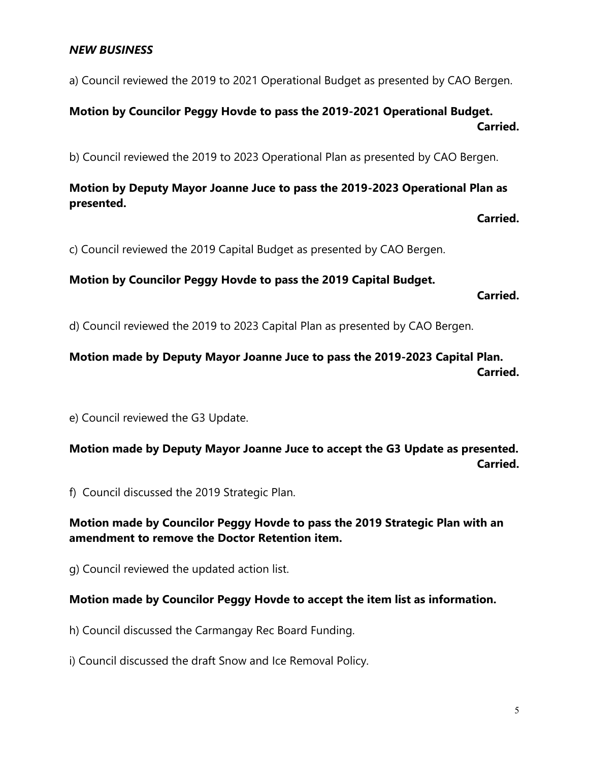#### *NEW BUSINESS*

a) Council reviewed the 2019 to 2021 Operational Budget as presented by CAO Bergen.

# **Motion by Councilor Peggy Hovde to pass the 2019-2021 Operational Budget. Carried.**

b) Council reviewed the 2019 to 2023 Operational Plan as presented by CAO Bergen.

## **Motion by Deputy Mayor Joanne Juce to pass the 2019-2023 Operational Plan as presented.**

**Carried.**

c) Council reviewed the 2019 Capital Budget as presented by CAO Bergen.

#### **Motion by Councilor Peggy Hovde to pass the 2019 Capital Budget.**

**Carried.**

d) Council reviewed the 2019 to 2023 Capital Plan as presented by CAO Bergen.

### **Motion made by Deputy Mayor Joanne Juce to pass the 2019-2023 Capital Plan. Carried.**

e) Council reviewed the G3 Update.

**Motion made by Deputy Mayor Joanne Juce to accept the G3 Update as presented. Carried.**

f) Council discussed the 2019 Strategic Plan.

#### **Motion made by Councilor Peggy Hovde to pass the 2019 Strategic Plan with an amendment to remove the Doctor Retention item.**

g) Council reviewed the updated action list.

#### **Motion made by Councilor Peggy Hovde to accept the item list as information.**

h) Council discussed the Carmangay Rec Board Funding.

i) Council discussed the draft Snow and Ice Removal Policy.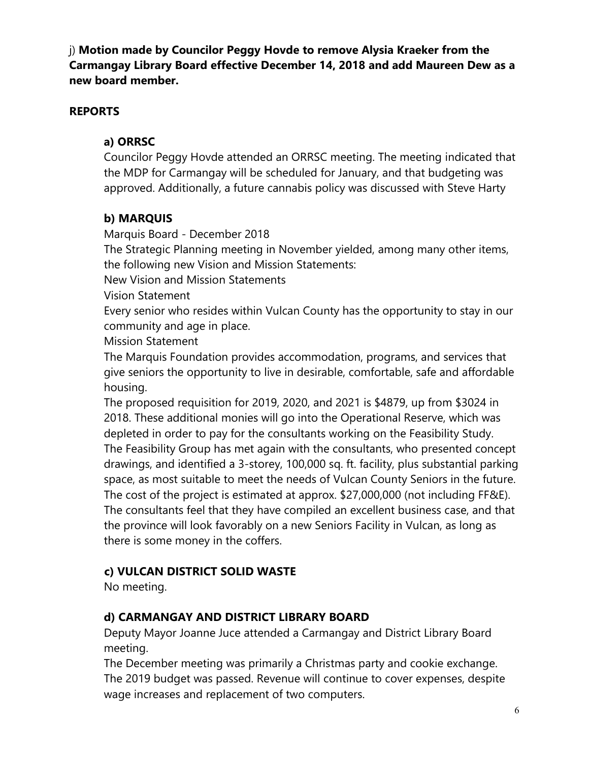j) **Motion made by Councilor Peggy Hovde to remove Alysia Kraeker from the Carmangay Library Board effective December 14, 2018 and add Maureen Dew as a new board member.**

### **REPORTS**

## **a) ORRSC**

Councilor Peggy Hovde attended an ORRSC meeting. The meeting indicated that the MDP for Carmangay will be scheduled for January, and that budgeting was approved. Additionally, a future cannabis policy was discussed with Steve Harty

### **b) MARQUIS**

Marquis Board - December 2018

The Strategic Planning meeting in November yielded, among many other items, the following new Vision and Mission Statements:

New Vision and Mission Statements

Vision Statement

Every senior who resides within Vulcan County has the opportunity to stay in our community and age in place.

Mission Statement

The Marquis Foundation provides accommodation, programs, and services that give seniors the opportunity to live in desirable, comfortable, safe and affordable housing.

The proposed requisition for 2019, 2020, and 2021 is \$4879, up from \$3024 in 2018. These additional monies will go into the Operational Reserve, which was depleted in order to pay for the consultants working on the Feasibility Study. The Feasibility Group has met again with the consultants, who presented concept drawings, and identified a 3-storey, 100,000 sq. ft. facility, plus substantial parking space, as most suitable to meet the needs of Vulcan County Seniors in the future. The cost of the project is estimated at approx. \$27,000,000 (not including FF&E). The consultants feel that they have compiled an excellent business case, and that the province will look favorably on a new Seniors Facility in Vulcan, as long as there is some money in the coffers.

## **c) VULCAN DISTRICT SOLID WASTE**

No meeting.

## **d) CARMANGAY AND DISTRICT LIBRARY BOARD**

Deputy Mayor Joanne Juce attended a Carmangay and District Library Board meeting.

The December meeting was primarily a Christmas party and cookie exchange. The 2019 budget was passed. Revenue will continue to cover expenses, despite wage increases and replacement of two computers.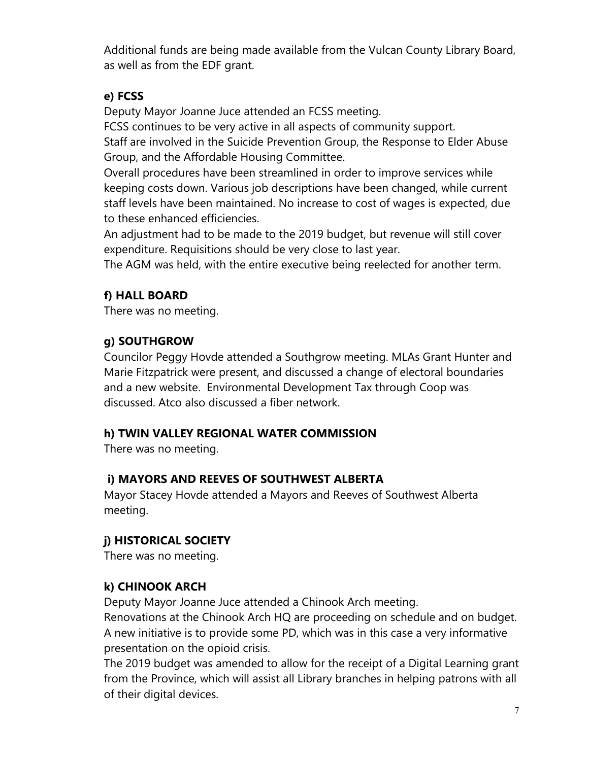Additional funds are being made available from the Vulcan County Library Board, as well as from the EDF grant.

## **e) FCSS**

Deputy Mayor Joanne Juce attended an FCSS meeting.

FCSS continues to be very active in all aspects of community support. Staff are involved in the Suicide Prevention Group, the Response to Elder Abuse Group, and the Affordable Housing Committee.

Overall procedures have been streamlined in order to improve services while keeping costs down. Various job descriptions have been changed, while current staff levels have been maintained. No increase to cost of wages is expected, due to these enhanced efficiencies.

An adjustment had to be made to the 2019 budget, but revenue will still cover expenditure. Requisitions should be very close to last year.

The AGM was held, with the entire executive being reelected for another term.

## **f) HALL BOARD**

There was no meeting.

## **g) SOUTHGROW**

Councilor Peggy Hovde attended a Southgrow meeting. MLAs Grant Hunter and Marie Fitzpatrick were present, and discussed a change of electoral boundaries and a new website. Environmental Development Tax through Coop was discussed. Atco also discussed a fiber network.

## **h) TWIN VALLEY REGIONAL WATER COMMISSION**

There was no meeting.

# **i) MAYORS AND REEVES OF SOUTHWEST ALBERTA**

Mayor Stacey Hovde attended a Mayors and Reeves of Southwest Alberta meeting.

# **j) HISTORICAL SOCIETY**

There was no meeting.

# **k) CHINOOK ARCH**

Deputy Mayor Joanne Juce attended a Chinook Arch meeting.

Renovations at the Chinook Arch HQ are proceeding on schedule and on budget. A new initiative is to provide some PD, which was in this case a very informative presentation on the opioid crisis.

The 2019 budget was amended to allow for the receipt of a Digital Learning grant from the Province, which will assist all Library branches in helping patrons with all of their digital devices.